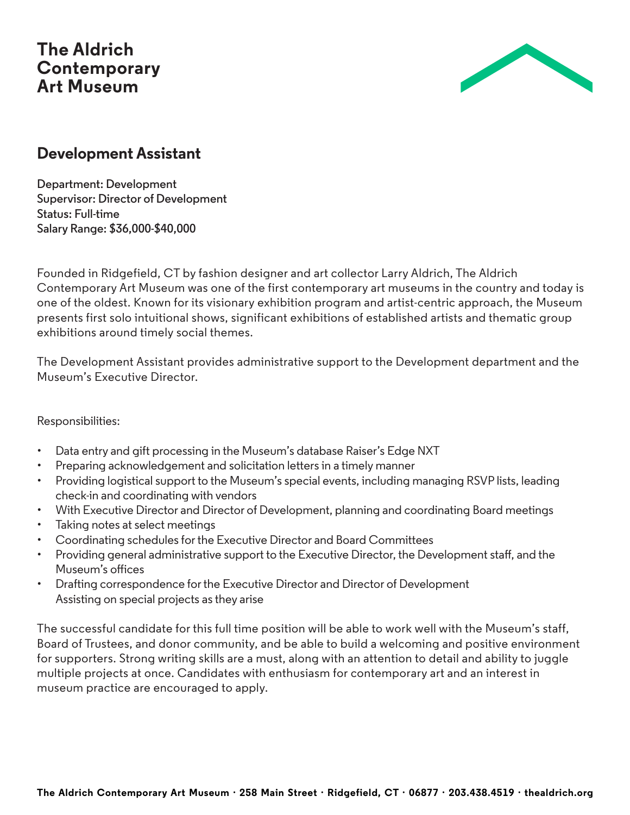## **The Aldrich Contemporary Art Museum**



## **Development Assistant**

**Department: Development Supervisor: Director of Development Status: Full-time Salary Range: \$36,000-\$40,000**

Founded in Ridgefield, CT by fashion designer and art collector Larry Aldrich, The Aldrich Contemporary Art Museum was one of the first contemporary art museums in the country and today is one of the oldest. Known for its visionary exhibition program and artist-centric approach, the Museum presents first solo intuitional shows, significant exhibitions of established artists and thematic group exhibitions around timely social themes.

The Development Assistant provides administrative support to the Development department and the Museum's Executive Director.

Responsibilities:

- Data entry and gift processing in the Museum's database Raiser's Edge NXT
- Preparing acknowledgement and solicitation letters in a timely manner
- Providing logistical support to the Museum's special events, including managing RSVP lists, leading check-in and coordinating with vendors
- With Executive Director and Director of Development, planning and coordinating Board meetings
- Taking notes at select meetings
- Coordinating schedules for the Executive Director and Board Committees
- Providing general administrative support to the Executive Director, the Development staff, and the Museum's offices
- Drafting correspondence for the Executive Director and Director of Development Assisting on special projects as they arise

The successful candidate for this full time position will be able to work well with the Museum's staff, Board of Trustees, and donor community, and be able to build a welcoming and positive environment for supporters. Strong writing skills are a must, along with an attention to detail and ability to juggle multiple projects at once. Candidates with enthusiasm for contemporary art and an interest in museum practice are encouraged to apply.